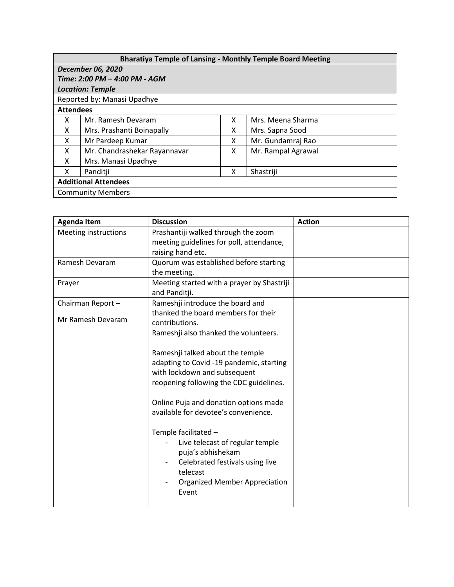| <b>Bharatiya Temple of Lansing - Monthly Temple Board Meeting</b> |                              |   |                    |  |  |  |
|-------------------------------------------------------------------|------------------------------|---|--------------------|--|--|--|
| <b>December 06, 2020</b>                                          |                              |   |                    |  |  |  |
| Time: 2:00 PM - 4:00 PM - AGM                                     |                              |   |                    |  |  |  |
| <b>Location: Temple</b>                                           |                              |   |                    |  |  |  |
| Reported by: Manasi Upadhye                                       |                              |   |                    |  |  |  |
| <b>Attendees</b>                                                  |                              |   |                    |  |  |  |
| x                                                                 | Mr. Ramesh Devaram           | X | Mrs. Meena Sharma  |  |  |  |
| X                                                                 | Mrs. Prashanti Boinapally    | x | Mrs. Sapna Sood    |  |  |  |
| X                                                                 | Mr Pardeep Kumar             | x | Mr. Gundamraj Rao  |  |  |  |
| X                                                                 | Mr. Chandrashekar Rayannavar | x | Mr. Rampal Agrawal |  |  |  |
| X                                                                 | Mrs. Manasi Upadhye          |   |                    |  |  |  |
| X                                                                 | Panditji                     | x | Shastriji          |  |  |  |
| <b>Additional Attendees</b>                                       |                              |   |                    |  |  |  |
| <b>Community Members</b>                                          |                              |   |                    |  |  |  |

| <b>Agenda Item</b>          | <b>Discussion</b>                                                                                                                                                                                | <b>Action</b> |
|-----------------------------|--------------------------------------------------------------------------------------------------------------------------------------------------------------------------------------------------|---------------|
| <b>Meeting instructions</b> | Prashantiji walked through the zoom                                                                                                                                                              |               |
|                             | meeting guidelines for poll, attendance,                                                                                                                                                         |               |
|                             | raising hand etc.                                                                                                                                                                                |               |
| Ramesh Devaram              | Quorum was established before starting                                                                                                                                                           |               |
|                             | the meeting.                                                                                                                                                                                     |               |
| Prayer                      | Meeting started with a prayer by Shastriji<br>and Panditji.                                                                                                                                      |               |
| Chairman Report-            | Rameshji introduce the board and                                                                                                                                                                 |               |
|                             | thanked the board members for their                                                                                                                                                              |               |
| Mr Ramesh Devaram           | contributions.                                                                                                                                                                                   |               |
|                             | Rameshji also thanked the volunteers.                                                                                                                                                            |               |
|                             | Rameshji talked about the temple<br>adapting to Covid -19 pandemic, starting<br>with lockdown and subsequent<br>reopening following the CDC guidelines.<br>Online Puja and donation options made |               |
|                             | available for devotee's convenience.                                                                                                                                                             |               |
|                             | Temple facilitated -<br>Live telecast of regular temple<br>puja's abhishekam<br>Celebrated festivals using live<br>telecast<br><b>Organized Member Appreciation</b><br>Event                     |               |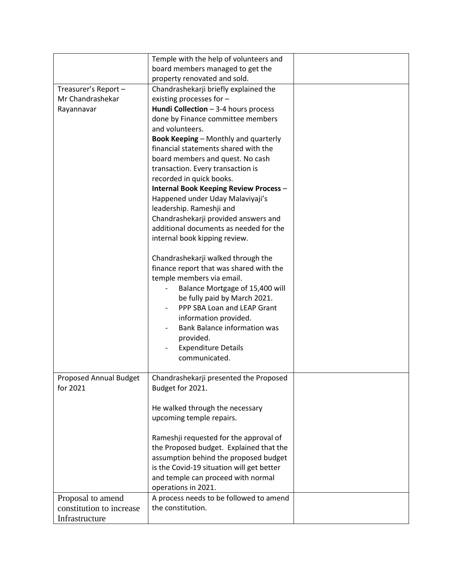|                                    | Temple with the help of volunteers and                     |  |
|------------------------------------|------------------------------------------------------------|--|
|                                    | board members managed to get the                           |  |
|                                    | property renovated and sold.                               |  |
| Treasurer's Report-                | Chandrashekarji briefly explained the                      |  |
| Mr Chandrashekar                   | existing processes for -                                   |  |
| Rayannavar                         | Hundi Collection $-$ 3-4 hours process                     |  |
|                                    | done by Finance committee members                          |  |
|                                    | and volunteers.                                            |  |
|                                    | <b>Book Keeping - Monthly and quarterly</b>                |  |
|                                    | financial statements shared with the                       |  |
|                                    | board members and quest. No cash                           |  |
|                                    | transaction. Every transaction is                          |  |
|                                    | recorded in quick books.                                   |  |
|                                    | <b>Internal Book Keeping Review Process -</b>              |  |
|                                    | Happened under Uday Malaviyaji's                           |  |
|                                    | leadership. Rameshji and                                   |  |
|                                    | Chandrashekarji provided answers and                       |  |
|                                    | additional documents as needed for the                     |  |
|                                    | internal book kipping review.                              |  |
|                                    | Chandrashekarji walked through the                         |  |
|                                    | finance report that was shared with the                    |  |
|                                    | temple members via email.                                  |  |
|                                    | Balance Mortgage of 15,400 will                            |  |
|                                    | be fully paid by March 2021.                               |  |
|                                    | PPP SBA Loan and LEAP Grant                                |  |
|                                    | information provided.                                      |  |
|                                    | <b>Bank Balance information was</b>                        |  |
|                                    | provided.                                                  |  |
|                                    | <b>Expenditure Details</b>                                 |  |
|                                    | communicated.                                              |  |
|                                    |                                                            |  |
| Proposed Annual Budget<br>for 2021 | Chandrashekarji presented the Proposed<br>Budget for 2021. |  |
|                                    |                                                            |  |
|                                    | He walked through the necessary                            |  |
|                                    | upcoming temple repairs.                                   |  |
|                                    |                                                            |  |
|                                    | Rameshji requested for the approval of                     |  |
|                                    | the Proposed budget. Explained that the                    |  |
|                                    | assumption behind the proposed budget                      |  |
|                                    | is the Covid-19 situation will get better                  |  |
|                                    | and temple can proceed with normal                         |  |
|                                    | operations in 2021.                                        |  |
| Proposal to amend                  | A process needs to be followed to amend                    |  |
| constitution to increase           | the constitution.                                          |  |
| Infrastructure                     |                                                            |  |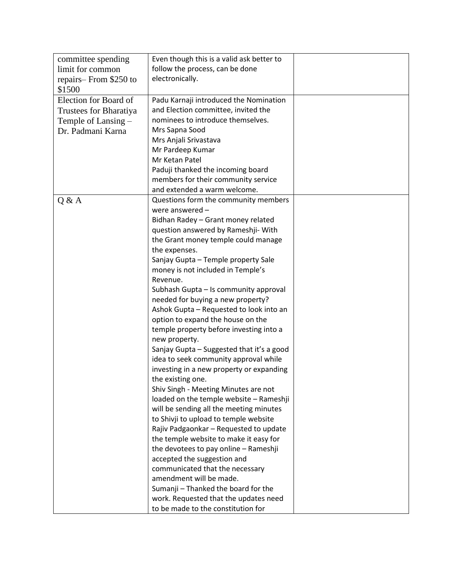| committee spending     | Even though this is a valid ask better to |  |
|------------------------|-------------------------------------------|--|
| limit for common       | follow the process, can be done           |  |
| repairs-From \$250 to  | electronically.                           |  |
| \$1500                 |                                           |  |
| Election for Board of  | Padu Karnaji introduced the Nomination    |  |
| Trustees for Bharatiya | and Election committee, invited the       |  |
| Temple of Lansing –    | nominees to introduce themselves.         |  |
| Dr. Padmani Karna      | Mrs Sapna Sood                            |  |
|                        | Mrs Anjali Srivastava                     |  |
|                        | Mr Pardeep Kumar                          |  |
|                        | Mr Ketan Patel                            |  |
|                        | Paduji thanked the incoming board         |  |
|                        | members for their community service       |  |
|                        | and extended a warm welcome.              |  |
| Q & A                  | Questions form the community members      |  |
|                        | were answered $-$                         |  |
|                        | Bidhan Radey - Grant money related        |  |
|                        | question answered by Rameshji- With       |  |
|                        | the Grant money temple could manage       |  |
|                        | the expenses.                             |  |
|                        | Sanjay Gupta - Temple property Sale       |  |
|                        | money is not included in Temple's         |  |
|                        | Revenue.                                  |  |
|                        | Subhash Gupta - Is community approval     |  |
|                        | needed for buying a new property?         |  |
|                        | Ashok Gupta - Requested to look into an   |  |
|                        | option to expand the house on the         |  |
|                        | temple property before investing into a   |  |
|                        | new property.                             |  |
|                        | Sanjay Gupta - Suggested that it's a good |  |
|                        | idea to seek community approval while     |  |
|                        | investing in a new property or expanding  |  |
|                        | the existing one.                         |  |
|                        | Shiv Singh - Meeting Minutes are not      |  |
|                        | loaded on the temple website - Rameshji   |  |
|                        | will be sending all the meeting minutes   |  |
|                        | to Shivji to upload to temple website     |  |
|                        | Rajiv Padgaonkar - Requested to update    |  |
|                        | the temple website to make it easy for    |  |
|                        | the devotees to pay online - Rameshji     |  |
|                        | accepted the suggestion and               |  |
|                        | communicated that the necessary           |  |
|                        | amendment will be made.                   |  |
|                        | Sumanji - Thanked the board for the       |  |
|                        | work. Requested that the updates need     |  |
|                        | to be made to the constitution for        |  |